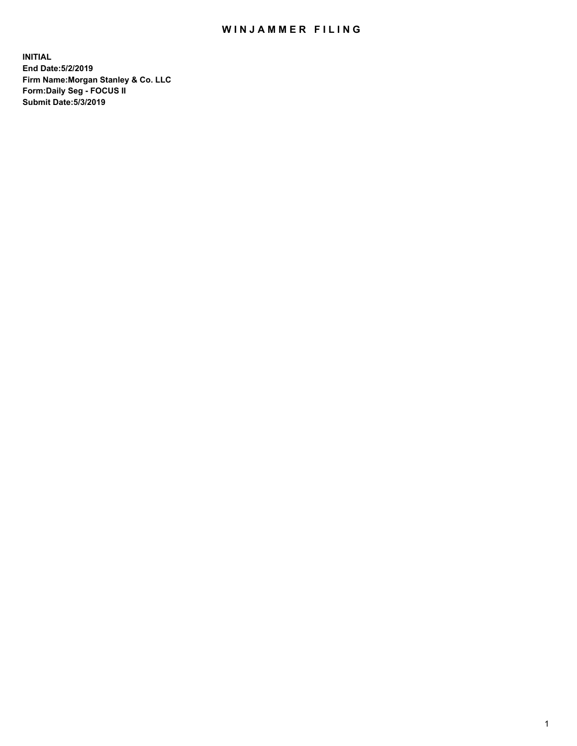## WIN JAMMER FILING

**INITIAL End Date:5/2/2019 Firm Name:Morgan Stanley & Co. LLC Form:Daily Seg - FOCUS II Submit Date:5/3/2019**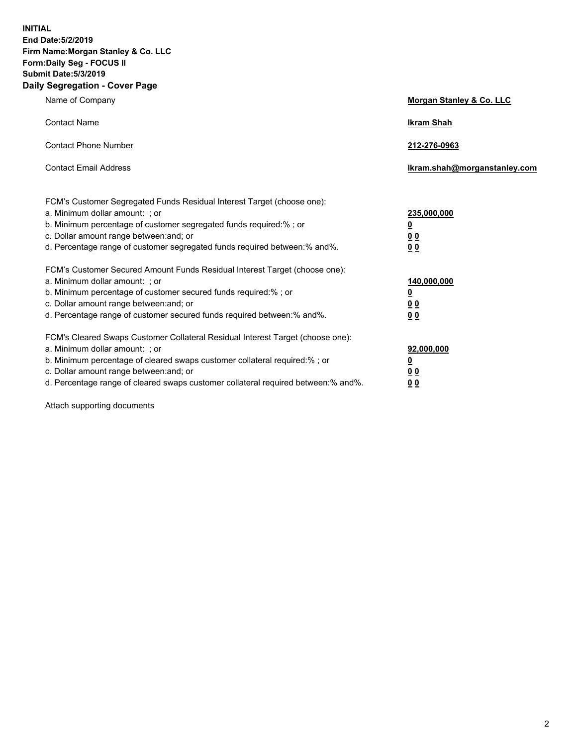**INITIAL End Date:5/2/2019 Firm Name:Morgan Stanley & Co. LLC Form:Daily Seg - FOCUS II Submit Date:5/3/2019 Daily Segregation - Cover Page**

| Name of Company                                                                                                                                                                                                                                                                                                                | Morgan Stanley & Co. LLC                                    |
|--------------------------------------------------------------------------------------------------------------------------------------------------------------------------------------------------------------------------------------------------------------------------------------------------------------------------------|-------------------------------------------------------------|
| <b>Contact Name</b>                                                                                                                                                                                                                                                                                                            | <b>Ikram Shah</b>                                           |
| <b>Contact Phone Number</b>                                                                                                                                                                                                                                                                                                    | 212-276-0963                                                |
| <b>Contact Email Address</b>                                                                                                                                                                                                                                                                                                   | Ikram.shah@morganstanley.com                                |
| FCM's Customer Segregated Funds Residual Interest Target (choose one):<br>a. Minimum dollar amount: ; or<br>b. Minimum percentage of customer segregated funds required:% ; or<br>c. Dollar amount range between: and; or<br>d. Percentage range of customer segregated funds required between:% and%.                         | 235,000,000<br><u>0</u><br>0 <sub>0</sub><br>00             |
| FCM's Customer Secured Amount Funds Residual Interest Target (choose one):<br>a. Minimum dollar amount: ; or<br>b. Minimum percentage of customer secured funds required:% ; or<br>c. Dollar amount range between: and; or<br>d. Percentage range of customer secured funds required between:% and%.                           | 140,000,000<br><u>0</u><br>0 <sub>0</sub><br>0 <sub>0</sub> |
| FCM's Cleared Swaps Customer Collateral Residual Interest Target (choose one):<br>a. Minimum dollar amount: ; or<br>b. Minimum percentage of cleared swaps customer collateral required:% ; or<br>c. Dollar amount range between: and; or<br>d. Percentage range of cleared swaps customer collateral required between:% and%. | 92,000,000<br><u>0</u><br>0 Q<br>0 <sub>0</sub>             |

Attach supporting documents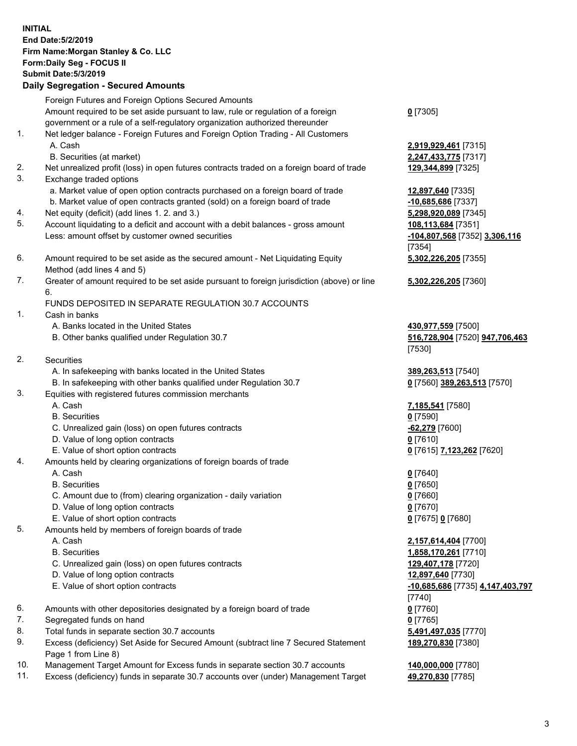| <b>INITIAL</b> | End Date: 5/2/2019<br>Firm Name: Morgan Stanley & Co. LLC<br>Form: Daily Seg - FOCUS II<br><b>Submit Date: 5/3/2019</b><br><b>Daily Segregation - Secured Amounts</b>                                                   |                                                                                         |
|----------------|-------------------------------------------------------------------------------------------------------------------------------------------------------------------------------------------------------------------------|-----------------------------------------------------------------------------------------|
|                | Foreign Futures and Foreign Options Secured Amounts<br>Amount required to be set aside pursuant to law, rule or regulation of a foreign<br>government or a rule of a self-regulatory organization authorized thereunder | $0$ [7305]                                                                              |
| 1.             | Net ledger balance - Foreign Futures and Foreign Option Trading - All Customers<br>A. Cash<br>B. Securities (at market)                                                                                                 | 2,919,929,461 [7315]<br>2,247,433,775 [7317]                                            |
| 2.<br>3.       | Net unrealized profit (loss) in open futures contracts traded on a foreign board of trade<br>Exchange traded options                                                                                                    | 129,344,899 [7325]                                                                      |
| 4.             | a. Market value of open option contracts purchased on a foreign board of trade<br>b. Market value of open contracts granted (sold) on a foreign board of trade<br>Net equity (deficit) (add lines 1.2. and 3.)          | 12,897,640 [7335]<br>-10,685,686 [7337]<br>5,298,920,089 [7345]                         |
| 5.             | Account liquidating to a deficit and account with a debit balances - gross amount<br>Less: amount offset by customer owned securities                                                                                   | 108,113,684 [7351]<br>-104,807,568 [7352] 3,306,116<br>[7354]                           |
| 6.             | Amount required to be set aside as the secured amount - Net Liquidating Equity<br>Method (add lines 4 and 5)                                                                                                            | 5,302,226,205 [7355]                                                                    |
| 7.             | Greater of amount required to be set aside pursuant to foreign jurisdiction (above) or line<br>6.                                                                                                                       | 5,302,226,205 [7360]                                                                    |
| 1.             | FUNDS DEPOSITED IN SEPARATE REGULATION 30.7 ACCOUNTS<br>Cash in banks<br>A. Banks located in the United States                                                                                                          | 430,977,559 [7500]                                                                      |
|                | B. Other banks qualified under Regulation 30.7                                                                                                                                                                          | 516,728,904 [7520] 947,706,463<br>[7530]                                                |
| 2.             | Securities<br>A. In safekeeping with banks located in the United States<br>B. In safekeeping with other banks qualified under Regulation 30.7                                                                           | 389,263,513 [7540]<br>0 [7560] 389,263,513 [7570]                                       |
| 3.             | Equities with registered futures commission merchants<br>A. Cash                                                                                                                                                        | 7,185,541 [7580]                                                                        |
|                | <b>B.</b> Securities<br>C. Unrealized gain (loss) on open futures contracts<br>D. Value of long option contracts                                                                                                        | $0$ [7590]<br>$-62,279$ [7600]<br>$0$ [7610]                                            |
| 4.             | E. Value of short option contracts<br>Amounts held by clearing organizations of foreign boards of trade<br>A. Cash                                                                                                      | 0 [7615] 7,123,262 [7620]<br>$0$ [7640]                                                 |
|                | <b>B.</b> Securities<br>C. Amount due to (from) clearing organization - daily variation<br>D. Value of long option contracts<br>E. Value of short option contracts                                                      | $0$ [7650]<br>$0$ [7660]<br>$0$ [7670]<br>0 [7675] 0 [7680]                             |
| 5.             | Amounts held by members of foreign boards of trade<br>A. Cash<br><b>B.</b> Securities                                                                                                                                   | 2,157,614,404 [7700]<br>1,858,170,261 [7710]                                            |
|                | C. Unrealized gain (loss) on open futures contracts<br>D. Value of long option contracts<br>E. Value of short option contracts                                                                                          | 129,407,178 [7720]<br>12,897,640 [7730]<br>-10,685,686 [7735] 4,147,403,797<br>$[7740]$ |
| 6.<br>7.       | Amounts with other depositories designated by a foreign board of trade<br>Segregated funds on hand                                                                                                                      | $0$ [7760]<br>$0$ [7765]                                                                |
| 8.<br>9.       | Total funds in separate section 30.7 accounts<br>Excess (deficiency) Set Aside for Secured Amount (subtract line 7 Secured Statement                                                                                    | 5,491,497,035 [7770]<br>189,270,830 [7380]                                              |
| 10.            | Page 1 from Line 8)<br>Management Target Amount for Excess funds in separate section 30.7 accounts                                                                                                                      | 140,000,000 [7780]                                                                      |

11. Excess (deficiency) funds in separate 30.7 accounts over (under) Management Target **49,270,830** [7785]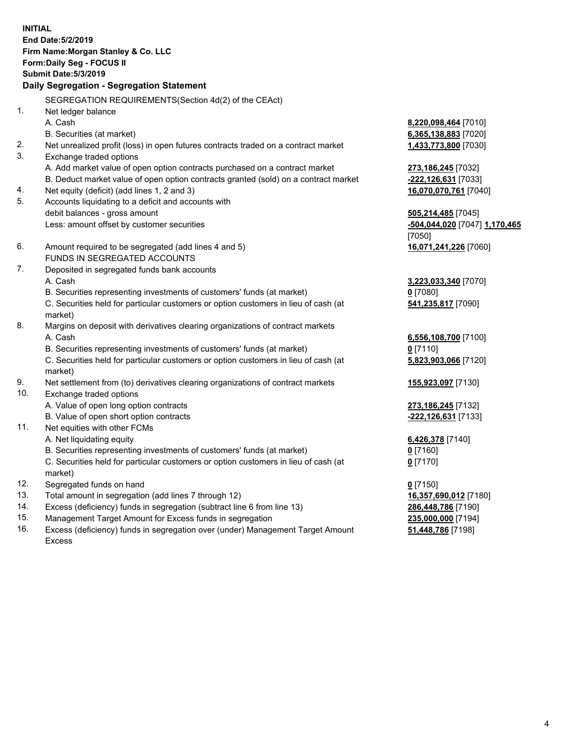**INITIAL End Date:5/2/2019 Firm Name:Morgan Stanley & Co. LLC Form:Daily Seg - FOCUS II Submit Date:5/3/2019 Daily Segregation - Segregation Statement** SEGREGATION REQUIREMENTS(Section 4d(2) of the CEAct) 1. Net ledger balance A. Cash **8,220,098,464** [7010] B. Securities (at market) **6,365,138,883** [7020] 2. Net unrealized profit (loss) in open futures contracts traded on a contract market **1,433,773,800** [7030] 3. Exchange traded options A. Add market value of open option contracts purchased on a contract market **273,186,245** [7032] B. Deduct market value of open option contracts granted (sold) on a contract market **-222,126,631** [7033] 4. Net equity (deficit) (add lines 1, 2 and 3) **16,070,070,761** [7040] 5. Accounts liquidating to a deficit and accounts with debit balances - gross amount **505,214,485** [7045] Less: amount offset by customer securities **-504,044,020** [7047] **1,170,465** [7050] 6. Amount required to be segregated (add lines 4 and 5) **16,071,241,226** [7060] FUNDS IN SEGREGATED ACCOUNTS 7. Deposited in segregated funds bank accounts A. Cash **3,223,033,340** [7070] B. Securities representing investments of customers' funds (at market) **0** [7080] C. Securities held for particular customers or option customers in lieu of cash (at market) **541,235,817** [7090] 8. Margins on deposit with derivatives clearing organizations of contract markets A. Cash **6,556,108,700** [7100] B. Securities representing investments of customers' funds (at market) **0** [7110] C. Securities held for particular customers or option customers in lieu of cash (at market) **5,823,903,066** [7120] 9. Net settlement from (to) derivatives clearing organizations of contract markets **155,923,097** [7130] 10. Exchange traded options A. Value of open long option contracts **273,186,245** [7132] B. Value of open short option contracts **-222,126,631** [7133] 11. Net equities with other FCMs A. Net liquidating equity **6,426,378** [7140] B. Securities representing investments of customers' funds (at market) **0** [7160] C. Securities held for particular customers or option customers in lieu of cash (at market) **0** [7170] 12. Segregated funds on hand **0** [7150] 13. Total amount in segregation (add lines 7 through 12) **16,357,690,012** [7180] 14. Excess (deficiency) funds in segregation (subtract line 6 from line 13) **286,448,786** [7190]

- 15. Management Target Amount for Excess funds in segregation **235,000,000** [7194]
- 16. Excess (deficiency) funds in segregation over (under) Management Target Amount Excess

**51,448,786** [7198]